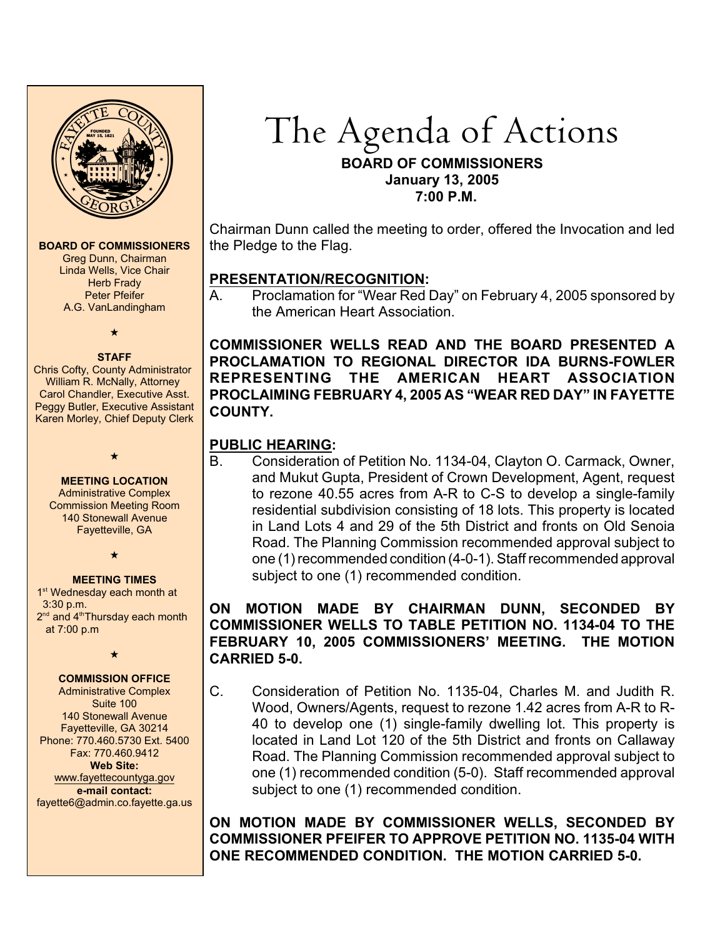

#### **BOARD OF COMMISSIONERS**

Greg Dunn, Chairman Linda Wells, Vice Chair Herb Frady Peter Pfeifer A.G. VanLandingham

 $\star$ 

#### **STAFF**

Chris Cofty, County Administrator William R. McNally, Attorney Carol Chandler, Executive Asst. Peggy Butler, Executive Assistant Karen Morley, Chief Deputy Clerk

 $\star$ 

**MEETING LOCATION** Administrative Complex Commission Meeting Room 140 Stonewall Avenue Fayetteville, GA

 $\star$ 

#### **MEETING TIMES**

1<sup>st</sup> Wednesday each month at 3:30 p.m.  $2<sup>nd</sup>$  and  $4<sup>th</sup>$ Thursday each month at 7:00 p.m

 $\star$ 

#### **COMMISSION OFFICE**

Administrative Complex Suite 100 140 Stonewall Avenue Fayetteville, GA 30214 Phone: 770.460.5730 Ext. 5400 Fax: 770.460.9412 **Web Site:** [www.fayettecountyga.gov](http://www.admin.co.fayette.ga.us) **e-mail contact:** fayette6@admin.co.fayette.ga.us

# The Agenda of Actions **BOARD OF COMMISSIONERS January 13, 2005 7:00 P.M.**

Chairman Dunn called the meeting to order, offered the Invocation and led the Pledge to the Flag.

# **PRESENTATION/RECOGNITION:**

A. Proclamation for "Wear Red Day" on February 4, 2005 sponsored by the American Heart Association.

**COMMISSIONER WELLS READ AND THE BOARD PRESENTED A PROCLAMATION TO REGIONAL DIRECTOR IDA BURNS-FOWLER REPRESENTING THE AMERICAN HEART ASSOCIATION PROCLAIMING FEBRUARY 4, 2005 AS "WEAR RED DAY" IN FAYETTE COUNTY.** 

# **PUBLIC HEARING:**

B. Consideration of Petition No. 1134-04, Clayton O. Carmack, Owner, and Mukut Gupta, President of Crown Development, Agent, request to rezone 40.55 acres from A-R to C-S to develop a single-family residential subdivision consisting of 18 lots. This property is located in Land Lots 4 and 29 of the 5th District and fronts on Old Senoia Road. The Planning Commission recommended approval subject to one (1) recommended condition (4-0-1). Staff recommended approval subject to one (1) recommended condition.

# **ON MOTION MADE BY CHAIRMAN DUNN, SECONDED BY COMMISSIONER WELLS TO TABLE PETITION NO. 1134-04 TO THE FEBRUARY 10, 2005 COMMISSIONERS' MEETING. THE MOTION CARRIED 5-0.**

C. Consideration of Petition No. 1135-04, Charles M. and Judith R. Wood, Owners/Agents, request to rezone 1.42 acres from A-R to R-40 to develop one (1) single-family dwelling lot. This property is located in Land Lot 120 of the 5th District and fronts on Callaway Road. The Planning Commission recommended approval subject to one (1) recommended condition (5-0). Staff recommended approval subject to one (1) recommended condition.

**ON MOTION MADE BY COMMISSIONER WELLS, SECONDED BY COMMISSIONER PFEIFER TO APPROVE PETITION NO. 1135-04 WITH ONE RECOMMENDED CONDITION. THE MOTION CARRIED 5-0.**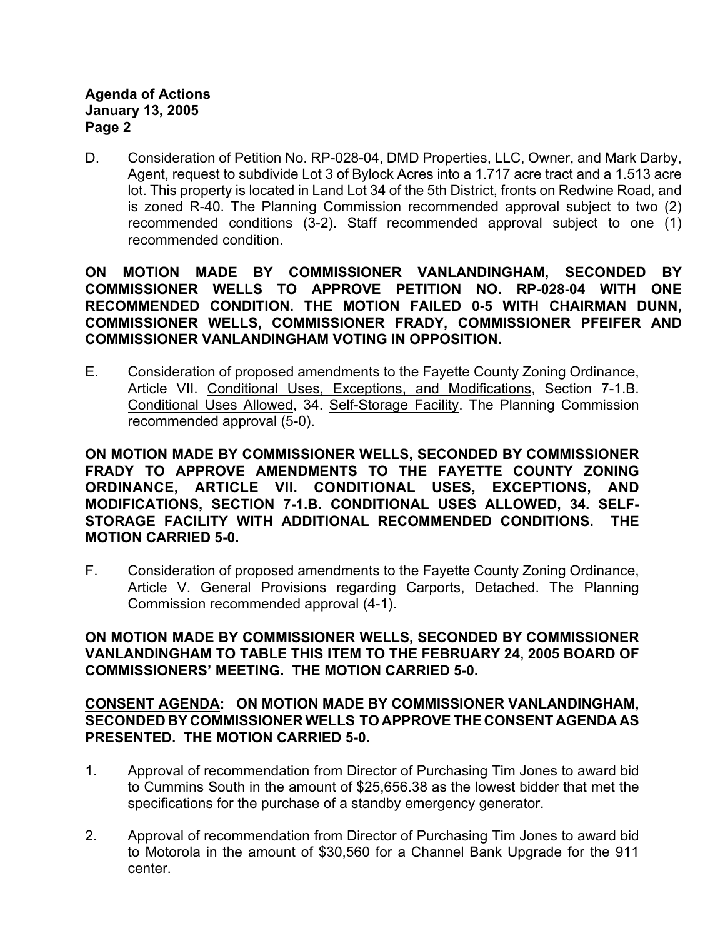## **Agenda of Actions January 13, 2005 Page 2**

D. Consideration of Petition No. RP-028-04, DMD Properties, LLC, Owner, and Mark Darby, Agent, request to subdivide Lot 3 of Bylock Acres into a 1.717 acre tract and a 1.513 acre lot. This property is located in Land Lot 34 of the 5th District, fronts on Redwine Road, and is zoned R-40. The Planning Commission recommended approval subject to two (2) recommended conditions (3-2). Staff recommended approval subject to one (1) recommended condition.

**ON MOTION MADE BY COMMISSIONER VANLANDINGHAM, SECONDED BY COMMISSIONER WELLS TO APPROVE PETITION NO. RP-028-04 WITH ONE RECOMMENDED CONDITION. THE MOTION FAILED 0-5 WITH CHAIRMAN DUNN, COMMISSIONER WELLS, COMMISSIONER FRADY, COMMISSIONER PFEIFER AND COMMISSIONER VANLANDINGHAM VOTING IN OPPOSITION.**

E. Consideration of proposed amendments to the Fayette County Zoning Ordinance, Article VII. Conditional Uses, Exceptions, and Modifications, Section 7-1.B. Conditional Uses Allowed, 34. Self-Storage Facility. The Planning Commission recommended approval (5-0).

**ON MOTION MADE BY COMMISSIONER WELLS, SECONDED BY COMMISSIONER FRADY TO APPROVE AMENDMENTS TO THE FAYETTE COUNTY ZONING ORDINANCE, ARTICLE VII. CONDITIONAL USES, EXCEPTIONS, AND MODIFICATIONS, SECTION 7-1.B. CONDITIONAL USES ALLOWED, 34. SELF-STORAGE FACILITY WITH ADDITIONAL RECOMMENDED CONDITIONS. THE MOTION CARRIED 5-0.** 

F. Consideration of proposed amendments to the Fayette County Zoning Ordinance, Article V. General Provisions regarding Carports, Detached. The Planning Commission recommended approval (4-1).

**ON MOTION MADE BY COMMISSIONER WELLS, SECONDED BY COMMISSIONER VANLANDINGHAM TO TABLE THIS ITEM TO THE FEBRUARY 24, 2005 BOARD OF COMMISSIONERS' MEETING. THE MOTION CARRIED 5-0.**

**CONSENT AGENDA: ON MOTION MADE BY COMMISSIONER VANLANDINGHAM, SECONDED BY COMMISSIONER WELLS TO APPROVE THE CONSENT AGENDA AS PRESENTED. THE MOTION CARRIED 5-0.** 

- 1. Approval of recommendation from Director of Purchasing Tim Jones to award bid to Cummins South in the amount of \$25,656.38 as the lowest bidder that met the specifications for the purchase of a standby emergency generator.
- 2. Approval of recommendation from Director of Purchasing Tim Jones to award bid to Motorola in the amount of \$30,560 for a Channel Bank Upgrade for the 911 center.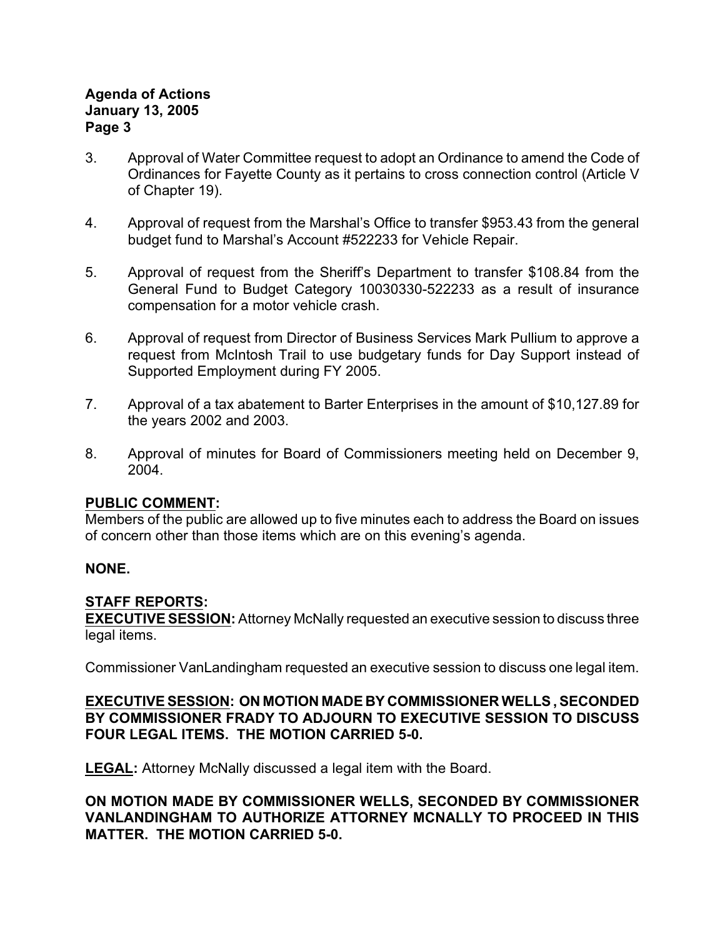## **Agenda of Actions January 13, 2005 Page 3**

- 3. Approval of Water Committee request to adopt an Ordinance to amend the Code of Ordinances for Fayette County as it pertains to cross connection control (Article V of Chapter 19).
- 4. Approval of request from the Marshal's Office to transfer \$953.43 from the general budget fund to Marshal's Account #522233 for Vehicle Repair.
- 5. Approval of request from the Sheriff's Department to transfer \$108.84 from the General Fund to Budget Category 10030330-522233 as a result of insurance compensation for a motor vehicle crash.
- 6. Approval of request from Director of Business Services Mark Pullium to approve a request from McIntosh Trail to use budgetary funds for Day Support instead of Supported Employment during FY 2005.
- 7. Approval of a tax abatement to Barter Enterprises in the amount of \$10,127.89 for the years 2002 and 2003.
- 8. Approval of minutes for Board of Commissioners meeting held on December 9, 2004.

# **PUBLIC COMMENT:**

Members of the public are allowed up to five minutes each to address the Board on issues of concern other than those items which are on this evening's agenda.

# **NONE.**

# **STAFF REPORTS:**

**EXECUTIVE SESSION:** Attorney McNally requested an executive session to discuss three legal items.

Commissioner VanLandingham requested an executive session to discuss one legal item.

## **EXECUTIVE SESSION: ON MOTION MADE BY COMMISSIONER WELLS , SECONDED BY COMMISSIONER FRADY TO ADJOURN TO EXECUTIVE SESSION TO DISCUSS FOUR LEGAL ITEMS. THE MOTION CARRIED 5-0.**

**LEGAL:** Attorney McNally discussed a legal item with the Board.

**ON MOTION MADE BY COMMISSIONER WELLS, SECONDED BY COMMISSIONER VANLANDINGHAM TO AUTHORIZE ATTORNEY MCNALLY TO PROCEED IN THIS MATTER. THE MOTION CARRIED 5-0.**